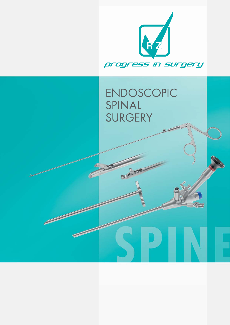

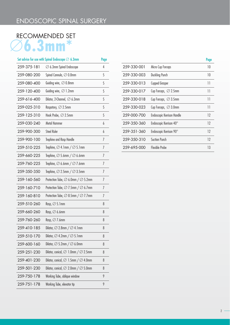# RECOMMENDED SET

|             | Set advice for use with Spinal Endoscope $\varnothing$ 6.3mm | Page |
|-------------|--------------------------------------------------------------|------|
| 259-375-181 | $\varnothing$ 6.3mm Spinal Endoscope                         | 4    |
| 259-080-200 | Spinal Cannula, ⊘0.8mm                                       | 5    |
| 259-080-400 | Guiding wire, $\varnothing$ 0.8mm                            | 5    |
| 259-120-400 | Guiding wire, $\varnothing$ 1.2mm                            | 5    |
| 259-616-400 | Dilator, 2-Channel, $\varnothing$ 6.3mm                      | 5    |
| 259-025-310 | Raspatory, $\varnothing$ 2.5mm                               | 5    |
| 259-125-310 | Hook Probe, $\varnothing$ 2.5mm                              | 5    |
| 259-030-240 | Metal Hammer                                                 | 6    |
| 259-900-300 | <b>Steel Ruler</b>                                           | 6    |
| 259-900-100 | Trephine and Rasp Handle                                     | 7    |
| 259-510-225 | Trephine, $\varnothing$ 4.1mm / $\varnothing$ 5.1mm          | 7    |
| 259-660-225 | Trephine, $\varnothing$ 5.6mm / $\varnothing$ 6.6mm          | 7    |
| 259-760-225 | Trephine, $\emptyset$ 6.6mm / $\emptyset$ 7.6mm              | 7    |
| 259-350-350 | Trephine, $\varnothing$ 2.5mm / $\varnothing$ 3.5mm          | 7    |
| 259-160-560 | Protection Tube, $\varnothing$ 6.0mm / $\varnothing$ 5.2mm   | 7    |
| 259-160-710 | Protection Tube, $\varnothing$ 7.5mm / $\varnothing$ 6.7mm   | 7    |
| 259-160-810 | Protection Tube, $\varnothing$ 8.5mm / $\varnothing$ 7.7mm   | 7    |
| 259-510-260 | Rasp, $\varnothing$ 5.1mm                                    | 8    |
| 259-660-260 | Rasp, $\varnothing$ 6.6mm                                    | 8    |
| 259-760-260 | Rasp, $\varnothing$ 7.6mm                                    | 8    |
| 259-410-185 | Dilator, $\varnothing$ 2.8mm / $\varnothing$ 4.1mm           | 8    |
| 259-510-170 | Dilator, $\varnothing$ 4.2mm / $\varnothing$ 5.1mm           | 8    |
| 259-600-160 | Dilator, $\varnothing$ 5.2mm / $\varnothing$ 6.0mm           | 8    |
| 259-251-230 | Dilator, conical, $\varnothing$ 1.0mm / $\varnothing$ 2.5mm  | 8    |
| 259-401-230 | Dilator, conical, $\varnothing$ 1.5mm / $\varnothing$ 4.0mm  | 8    |
| 259-501-230 | Dilator, conical, $\varnothing$ 2.0mm / $\varnothing$ 5.0mm  | 8    |
| 259-750-178 | Working Tube, oblique window                                 | 9    |
| 259-751-178 | Working Tube, elevator tip                                   | 9    |
|             |                                                              |      |

|             |                                   | Page |
|-------------|-----------------------------------|------|
| 259-330-001 | Micro Cup Forceps                 | 10   |
| 259-330-003 | <b>Duckling Punch</b>             | 10   |
| 259-330-013 | <b>Cupped Grasper</b>             | 11   |
| 259-330-017 | Cup Forceps, $\varnothing$ 2.5mm  | 11   |
| 259-330-018 | Cup Forceps, $\varnothing$ 3.5mm  | 11   |
| 259-330-023 | Cup Forceps, $\varnothing$ 3.0mm  | 11   |
| 259-000-700 | <b>Endoscopic Kerrison Handle</b> | 12   |
| 259-350-360 | Endoscopic Kerrison 40°           | 12   |
| 259-351-360 | Endoscopic Kerrison 90°           | 12   |
| 259-350-310 | Suction Punch                     | 12   |
| 259-695-000 | Flexible Probe                    | 13   |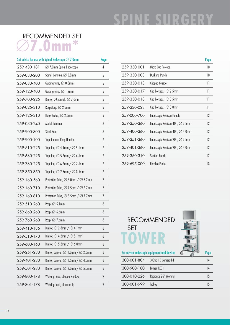# **SPINE SURGERY**

# RECOMMENDED SET

|             | Set advice for use with Spinal Endoscope $\varnothing$ 7.0mm | Page |
|-------------|--------------------------------------------------------------|------|
| 259-430-181 | $\varnothing$ 7.0mm Spinal Endoscope                         | 4    |
| 259-080-200 | Spinal Cannula, ⊘0.8mm                                       | 5    |
| 259-080-400 | Guiding wire, $\oslash$ 0.8mm                                | 5    |
| 259-120-400 | Guiding wire, $\varnothing$ 1.2mm                            | 5    |
| 259-700-225 | Dilator, 2-Channel, $\varnothing$ 7.0mm                      | 5    |
| 259-025-310 | Raspatory, $\varnothing$ 2.5mm                               | 5    |
| 259-125-310 | Hook Probe, $\varnothing$ 2.5mm                              | 5    |
| 259-030-240 | Metal Hammer                                                 | 6    |
| 259-900-300 | <b>Steel Ruler</b>                                           | 6    |
| 259-900-100 | Trephine and Rasp Handle                                     | 7    |
| 259-510-225 | Trephine, $\varnothing$ 4.1mm / $\varnothing$ 5.1mm          | 7    |
| 259-660-225 | Trephine, $\varnothing$ 5.6mm / $\varnothing$ 6.6mm          | 7    |
| 259-760-225 | Trephine, $\varnothing$ 6.6mm / $\varnothing$ 7.6mm          | 7    |
| 259-350-350 | Trephine, $\varnothing$ 2.5mm / $\varnothing$ 3.5mm          | 7    |
| 259-160-560 | Protection Tube, $\varnothing$ 6.0mm / $\varnothing$ 5.2mm   | 7    |
| 259-160-710 | Protection Tube, $\varnothing$ 7.5mm / $\varnothing$ 6.7mm   | 7    |
| 259-160-810 | Protection Tube, $\varnothing$ 8.5mm / $\varnothing$ 7.7mm   | 7    |
| 259-510-260 | Rasp, $\varnothing$ 5.1mm                                    | 8    |
| 259-660-260 | Rasp, $\varnothing$ 6.6mm                                    | 8    |
| 259-760-260 | Rasp, $\varnothing$ 7.6mm                                    | 8    |
| 259-410-185 | Dilator, $\varnothing$ 2.8mm / $\varnothing$ 4.1mm           | 8    |
| 259-510-170 | Dilator, $\varnothing$ 4.2mm / $\varnothing$ 5.1mm           | 8    |
| 259-600-160 | Dilator, $\varnothing$ 5.2mm / $\varnothing$ 6.0mm           | 8    |
| 259-251-230 | Dilator, conical, $\varnothing$ 1.0mm / $\varnothing$ 2.5mm  | 8    |
| 259-401-230 | Dilator, conical, $\varnothing$ 1.5mm / $\varnothing$ 4.0mm  | 8    |
| 259-501-230 | Dilator, conical, $\varnothing$ 2.0mm / $\varnothing$ 5.0mm  | 8    |
| 259-800-178 | Working Tube, oblique window                                 | 9    |
| 259-801-178 | Working Tube, elevator tip                                   | 9    |

|             |                                                     | Page |
|-------------|-----------------------------------------------------|------|
| 259-330-001 | Micro Cup Forceps                                   | 10   |
| 259-330-003 | Duckling Punch                                      | 10   |
| 259-330-013 | <b>Cupped Grasper</b>                               | 11   |
| 259-330-017 | Cup Forceps, $\varnothing$ 2.5mm                    | 11   |
| 259-330-018 | Cup Forceps, $\varnothing$ 3.5mm                    | 11   |
| 259-330-023 | Cup Forceps, $\varnothing$ 3.0mm                    | 11   |
| 259-000-700 | Endoscopic Kerrison Handle                          | 12   |
| 259-350-360 | Endoscopic Kerrison $40^{\circ}$ , $\oslash$ 3.5mm  | 12   |
| 259-400-360 | Endoscopic Kerrison $40^{\circ}$ , $\oslash$ 4.0mm  | 12   |
| 259-351-360 | Endoscopic Kerrison 90 $^{\circ}$ , $\oslash$ 3.5mm | 12   |
| 259-401-360 | Endoscopic Kerrison 90 $^{\circ}$ , $\oslash$ 4.0mm | 12   |
| 259-350-310 | <b>Suction Punch</b>                                | 12   |
| 259-695-000 | Flexible Probe                                      | 13   |





|             | Set advice endoscopic equipment and devices | Paae |
|-------------|---------------------------------------------|------|
| 300-001-804 | 3-Chip HD Camera F4                         | 14   |
| 300-900-180 | Lumen IFD1                                  | 14   |
| 300-010-226 | Radiance 26" Monitor                        | 15   |
| 300-001-999 | Trolley                                     | 15   |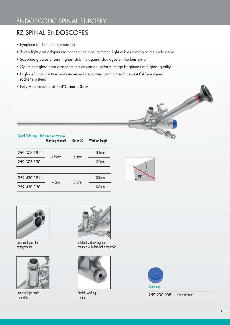# RZ SPINAL ENDOSCOPES

- Eyepiece for C-mount connection
- 3-step light post adapters to connect the most common light cables directly to the endoscope
- Sapphire glasses ensure highest stability against damages on the lens system
- Optimized glass fibre arrangements ensure an uniform image brightness of highest quality
- High definition pictures with increased detail-resolution through newest CAD-designed rod-lens systems
- Fully Autoclavable at 134°C and 2.3bar

| Spinal Endoscope, 30° direction ov view | Working channel   | Outer- $\oslash$  | Working length    |
|-----------------------------------------|-------------------|-------------------|-------------------|
| 259-375-181*                            | 3.75mm            | 6.3mm             | 181mm             |
| 259-375-130                             |                   |                   | 130mm             |
|                                         |                   |                   |                   |
| 259-430-181*                            | 4.3 <sub>mm</sub> | 7.0 <sub>mm</sub> | 181mm             |
| 259-430-130                             |                   |                   | 130 <sub>mm</sub> |





Optimized glas fiber arrangements



Universal light guide connection



2 lateral suction-irrigation channels with detachable stopcock



Straight working channel

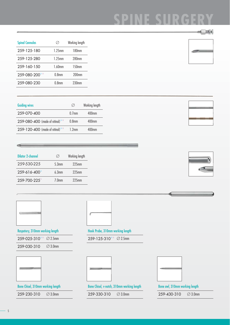| <b>Spinal Cannulas</b> |                   | Working length    |
|------------------------|-------------------|-------------------|
| 259-125-180            | $1.25$ mm         | 180mm             |
| 259-125-280            | $1.25$ mm         | 280mm             |
| 259-160-150            | $1.60$ mm         | $150$ mm          |
| 259-080-200            | 0.8 <sub>mm</sub> | $200$ mm          |
| 259-080-230            | 0.8 <sub>mm</sub> | 230 <sub>mm</sub> |

| <b>Guiding wires</b>            | Ø                 | Working length |
|---------------------------------|-------------------|----------------|
| 259-070-400                     | $0.7$ mm          | $400$ mm       |
| 259-080-400 (made of nitinol)** | 0.8 <sub>mm</sub> | $400$ mm       |
| 259-120-400 (made of nitinol)** | 12mm              | $400$ mm       |

| <b>Dilator 2-channel</b> | Ø     | Working length |
|--------------------------|-------|----------------|
| 259-530-225              | 5.3mm | $225$ mm       |
| 259-616-400              | 6.3mm | $225$ mm       |
| 259-700-225*             | 70mm  | $225$ mm       |





Raspatory, 310mm working length

 $259 - 025 - 310**$   $\oslash$  2.5mm

259-030-310 <sup>Ø 3.0mm</sup>



Bone Chisel, 310mm working length 259-230-310 ⊘ 3.0mm



Hook Probe, 310mm working length

 $259 - 125 - 310^{**}$   $\oslash$  2.5mm

259-330-310 Ø 3.0mm





Bone awl, 310mm working length

259-430-310 <sup>Ø 3.0mm</sup>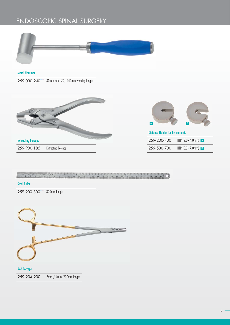

Metal Hammer

259-030-240\*\* 30mm outer- $\varnothing$ , 240mm working length



Extracting Forceps

259-900-185 Extracting Forceps



| <b>Distance Holder for Instruments</b> |                        |
|----------------------------------------|------------------------|
| 259-200-400                            | HTP $(2.0 - 4.0$ mm) A |
| 259-530-700                            | HTP $(5.3 - 7.0$ mm) B |

 $\frac{1}{2}$   $\frac{1}{2}$   $\frac{1}{2}$   $\frac{1}{2}$   $\frac{1}{2}$   $\frac{1}{2}$   $\frac{1}{2}$   $\frac{1}{2}$   $\frac{1}{2}$   $\frac{1}{2}$   $\frac{1}{2}$   $\frac{1}{2}$   $\frac{1}{2}$   $\frac{1}{2}$   $\frac{1}{2}$   $\frac{1}{2}$   $\frac{1}{2}$   $\frac{1}{2}$   $\frac{1}{2}$   $\frac{1}{2}$   $\frac{1}{2}$   $\frac{1}{2}$ 

Steel Ruler

259-900-300\*\* 300mm length

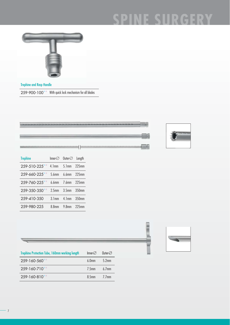## **F SHRGERY** CD



Trephine and Rasp Handle  $259 - 900 - 100$  \*\* With quick lock mechanism for all blades

ŧ



| <b>Trephine</b> | Inner- $\varnothing$ | Outer- $\oslash$ Length |          |
|-----------------|----------------------|-------------------------|----------|
| 259-510-225**   |                      | $4.1mm$ $5.1mm$         | $225$ mm |
| 259-660-225**   | $5.6$ mm             | 6.6mm 225mm             |          |
| 259-760-225**   |                      | $6.6$ mm $7.6$ mm       | 225mm    |
| 259-350-350**   | 2.5 <sub>mm</sub>    | 3.5 <sub>mm</sub>       | $350$ mm |
| 259-410-350     | 3.1 <sub>mm</sub>    | 4.1 <sub>mm</sub>       | 350mm    |
| 259-980-225     | 8 8mm                | 9 8mm                   | 225mm    |

| <b>Trephine Protection Tube, 160mm working length</b> | $Inner\oslash$    | Outer- $\oslash$ |
|-------------------------------------------------------|-------------------|------------------|
| 259-160-560**                                         | 6.0 <sub>mm</sub> | $5.2$ mm         |
| 259-160-710**                                         | $7.5$ mm          | $67$ mm          |
| 259-160-810**                                         | 8 5mm             | $7.7$ mm         |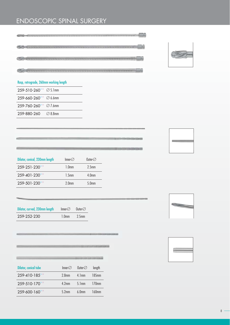



### Rasp, retrograde, 260mm working length  $259 - 510 - 260$ \*\* Ø 5.1mm  $259 - 660 - 260$ \*\* Ø6.6mm  $259 - 760 - 260$ \*\* Ø 7.6mm

259-880-260 Ø 8.8mm

| y. |  |  |
|----|--|--|
|    |  |  |

| Dilator, conical, 230mm length | $Inner\varnothing$ | Outer- $\oslash$  |
|--------------------------------|--------------------|-------------------|
| 259-251-230**                  | 1.0 <sub>mm</sub>  | 2.5 <sub>mm</sub> |
| 259-401-230**                  | 1.5 <sub>mm</sub>  | 4.0 <sub>mm</sub> |
| 259-501-230**                  | 2.0 <sub>mm</sub>  | 5.0 <sub>mm</sub> |

| Dilator, curved, 230mm length | Inner- $\oslash$  | Outer- $\oslash$  |
|-------------------------------|-------------------|-------------------|
| 259-252-230                   | 1.0 <sub>mm</sub> | 2.5 <sub>mm</sub> |

|                              |                  | m                |          |
|------------------------------|------------------|------------------|----------|
| <b>Dilator, conical tube</b> | Inner- $\oslash$ | Outer- $\oslash$ | length   |
| 259-410-185**                | $2$ 8mm          | $4 \text{ 1mm}$  | 185mm    |
| 259-510-170**                | $4.2$ mm         | $5 \text{ lmm}$  | $170$ mm |
| 259-600-160**                | $5.2$ mm         | $6 \, \Omega$ mm | 160mm    |



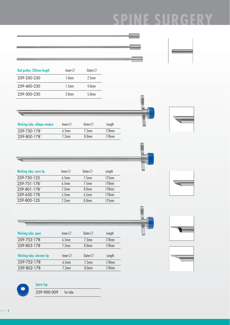# **NE SURGERY SP**

| Rod pusher, 230mm length     | Inner- $\oslash$                       | Outer- $\oslash$  |                |  |
|------------------------------|----------------------------------------|-------------------|----------------|--|
|                              |                                        |                   |                |  |
| 259-250-230                  | 1.0 <sub>mm</sub>                      | 2.5 <sub>mm</sub> |                |  |
| 259-400-230                  | 1.5 <sub>mm</sub>                      | 4.0mm             |                |  |
| 259-500-230                  | 2.0 <sub>mm</sub>                      | 5.0mm             |                |  |
|                              |                                        |                   |                |  |
|                              |                                        |                   |                |  |
|                              |                                        |                   |                |  |
|                              |                                        |                   |                |  |
| Working tube, oblique window | Inner- $\oslash$                       | Outer- $\oslash$  | Length         |  |
| 259-750-178                  | 6.5 <sub>mm</sub><br>7.2 <sub>mm</sub> | 7.5mm             | 178mm<br>178mm |  |
| 259-800-178                  |                                        | 8.0 <sub>mm</sub> |                |  |
|                              |                                        |                   |                |  |
|                              |                                        |                   |                |  |
|                              |                                        |                   |                |  |
|                              |                                        |                   |                |  |
| Working tube, wave tip       | Inner- $\oslash$                       | Outer- $\oslash$  | Length         |  |
| 259-750-125                  | 6.5 <sub>mm</sub>                      | 7.5 <sub>mm</sub> | 125mm          |  |
| 259-751-178                  | 6.5 <sub>mm</sub>                      | 7.5 <sub>mm</sub> | 178mm          |  |
| 259-801-178                  | 7.2mm                                  | <b>8.0mm</b>      | 178mm          |  |
| 259-650-178                  | $5.5$ mm                               | 6.5mm             | 178mm          |  |
| 259-800-125                  | 7.2 <sub>mm</sub>                      | <b>8.0mm</b>      | 125mm          |  |
|                              |                                        |                   |                |  |
|                              |                                        |                   |                |  |
|                              |                                        |                   |                |  |
|                              |                                        |                   |                |  |
| Working tube, open           | Inner- $\oslash$                       | Outer- $\oslash$  | Length         |  |
| 259-753-178                  | 6.5mm                                  | 7.5mm             | 178mm          |  |
| 259-803-178                  | $7.2$ mm                               | 8.0 <sub>mm</sub> | 178mm          |  |
|                              |                                        |                   |                |  |
| Working tube, elevator tip   | Inner- $\oslash$                       | Outer- $\oslash$  | Length         |  |
| 259-752-178                  | 6.5mm                                  | 7.5 <sub>mm</sub> | 178mm          |  |
| 259-802-178                  | 7.2mm                                  | 8.0 <sub>mm</sub> | 178mm          |  |



### Spare Cap

259-900-009 For tube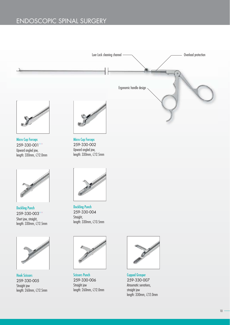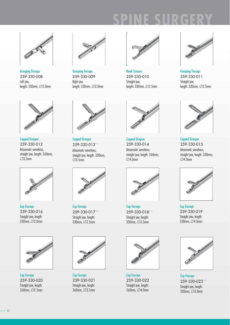

Grasping Forceps 259-330-008 Left jaw, length:  $330$ mm,  $\oslash$  2.0mm



Cupped Grasper 259-330-012 Atraumatic serrations, straight jaw, length: 260mm,  $\overline{\varnothing}$ 3.5mm



Cup Forceps 259-330-016 Straight jaw, length: 330mm, Ø2.0mm



Cup Forceps 259-330-020 Straight jaw, length: 260mm, Ø2.5mm



Grasping Forceps 259-330-009 Right jaw, length: 330mm, Ø2.0mm



Cupped Grasper 259-330-013 Atraumatic serrations, straight jaw, length: 330mm, Ø3.5mm



Cup Forceps 259-330-017 Straight jaw, length: 330mm, Ø2.5mm



Cup Forceps 259-330-021 Straight jaw, length: 260mm, Ø3.5mm



Hook Scissors 259-330-010 Straight jaw, length:  $330$ mm,  $\oslash$  2.5mm



Grasping Forceps 259-330-011 Straight jaw, length: 330mm, Ø2.5mm



Cupped Grapser 259-330-014 Atraumatic serrations, straight jaw, length: 260mm,  $\varnothing$ 4.0mm



Cup Forceps 259-330-018 Straight jaw, length: 330mm, Ø3.5mm



Cup Forceps 259-330-022 Straight jaw, length: 260mm, Ø4.0mm



Cupped Grasper 259-330-015 Atraumatic serrations, straight jaw, length: 330mm, Ø4.0mm



Cup Forceps 259-330-019 Straight jaw, length: 330mm, Ø4.0mm



Cup Forceps 259-330-023 Straight jaw, length: 330mm, Ø3.0mm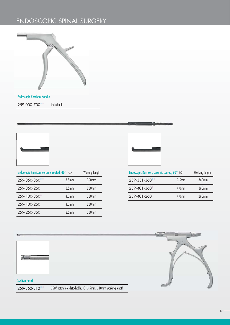

#### Endoscopic Kerrison Handle

259-000-700\*\* Detachable



| Endoscopic Kerrison, ceramic coated, 40° ⊘ | Working length |
|--------------------------------------------|----------------|
| 3.5 <sub>mm</sub>                          | 360mm          |
| 3.5 <sub>mm</sub>                          | $260$ mm       |
| 4.0 <sub>mm</sub>                          | 360mm          |
| 4.0 <sub>mm</sub>                          | 260mm          |
| 2.5 <sub>mm</sub>                          | 360mm          |
|                                            |                |



| Endoscopic Kerrison, ceramic coated, 90 $^{\circ}$ $\varnothing$ | Working length    |          |
|------------------------------------------------------------------|-------------------|----------|
| 259-351-360**                                                    | 3.5 <sub>mm</sub> | 360mm    |
| 259-401-360*                                                     | 4.0 <sub>mm</sub> | $360$ mm |
| 259-401-260                                                      | 4.0 <sub>mm</sub> | 260mm    |

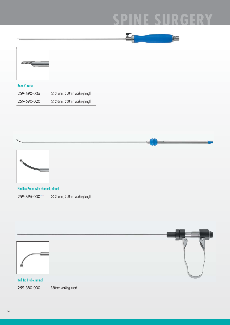#### CERY  $\mathbb{D}$  $\overline{\mathbb{C}}$  $\mathbb D$ ш

ı



#### Bone Curette

| 259-690-035 | $\varnothing$ 3.5mm, 330mm working length |
|-------------|-------------------------------------------|
| 259-690-020 | $\varnothing$ 2.0mm, 260mm working length |



Flexible Probe with channel, nitinol

 $259 - 695 - 000$ \*\* $\oslash$  3.5mm, 300mm working length

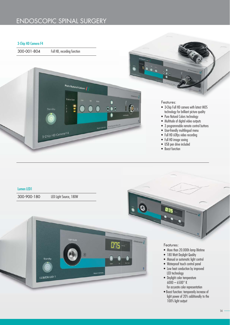#### 3-Chip HD Camera F4



היה

团

#### Lumen LED1

300-900-180 LED Light Source, 180W

Standb

LUMEN LED 1



Features:

- More than 20.000h lamp lifetime
- 180 Watt Daylight Quality
- Manual or automatic light control
- Waterproof touch control panel
- Low heat conduction by improved LED technology
- Daylight color temperature  $6000 - 6500$ ° K for accurate color representation
- Boost function: temporarily increase of light power of 20% additionally to the 100% light output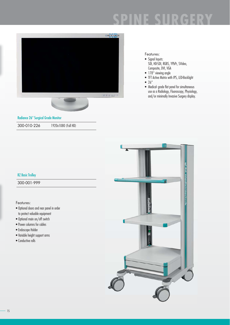# $\mathbb D$



#### Features:

- Signal Inputs: SDI, HD-SDI, RGBS, YPbPr, SVideo, Composite, DVI, VGA
- 178° viewing angle
- TFT Active Matrix with IPS, LED-Backlight
- $26"$
- Medical- grade flat panel for simultaneous use as a Radiology, Fluoroscopy, Physiology, and/or minimally Invasive Surgery display.

Radiance 26" Surgical Grade Monitor

300-010-226 1920x1080 (Full HD)

#### RZ Basic Trolley

300-001-999

#### Features:

- Optional doors and rear panel in order to protect valuable equipment
- Optional main on/off switch
- Power columns for cables
- Endoscope Holder
- Variable height support arms
- Conductive rolls